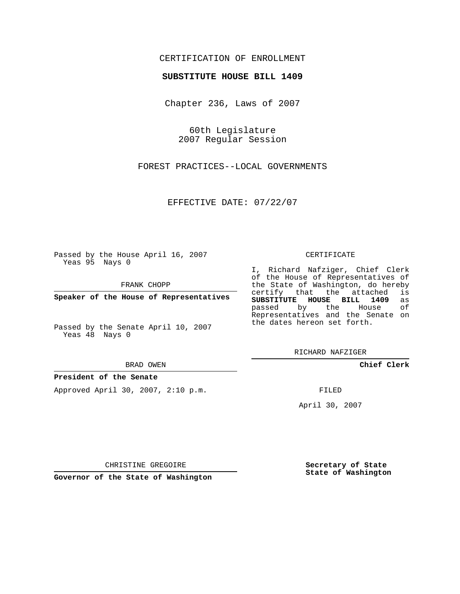## CERTIFICATION OF ENROLLMENT

### **SUBSTITUTE HOUSE BILL 1409**

Chapter 236, Laws of 2007

60th Legislature 2007 Regular Session

FOREST PRACTICES--LOCAL GOVERNMENTS

EFFECTIVE DATE: 07/22/07

Passed by the House April 16, 2007 Yeas 95 Nays 0

FRANK CHOPP

**Speaker of the House of Representatives**

Passed by the Senate April 10, 2007 Yeas 48 Nays 0

BRAD OWEN

**President of the Senate**

Approved April 30, 2007, 2:10 p.m.

#### CERTIFICATE

I, Richard Nafziger, Chief Clerk of the House of Representatives of the State of Washington, do hereby<br>certify that the attached is certify that the attached **SUBSTITUTE HOUSE BILL 1409** as passed by the Representatives and the Senate on the dates hereon set forth.

RICHARD NAFZIGER

**Chief Clerk**

FILED

April 30, 2007

CHRISTINE GREGOIRE

**Governor of the State of Washington**

**Secretary of State State of Washington**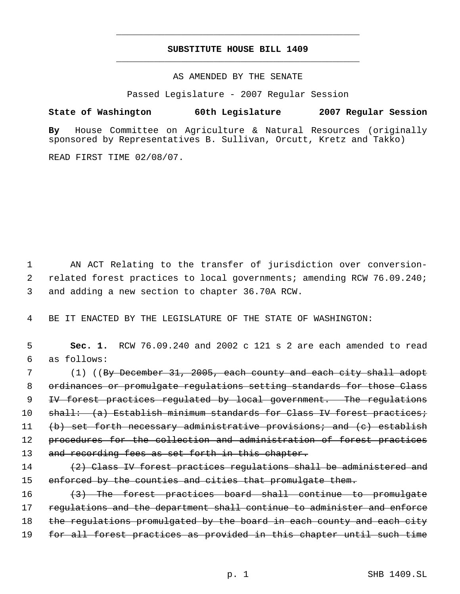# **SUBSTITUTE HOUSE BILL 1409** \_\_\_\_\_\_\_\_\_\_\_\_\_\_\_\_\_\_\_\_\_\_\_\_\_\_\_\_\_\_\_\_\_\_\_\_\_\_\_\_\_\_\_\_\_

\_\_\_\_\_\_\_\_\_\_\_\_\_\_\_\_\_\_\_\_\_\_\_\_\_\_\_\_\_\_\_\_\_\_\_\_\_\_\_\_\_\_\_\_\_

AS AMENDED BY THE SENATE

Passed Legislature - 2007 Regular Session

## **State of Washington 60th Legislature 2007 Regular Session**

**By** House Committee on Agriculture & Natural Resources (originally sponsored by Representatives B. Sullivan, Orcutt, Kretz and Takko)

READ FIRST TIME 02/08/07.

 1 AN ACT Relating to the transfer of jurisdiction over conversion- 2 related forest practices to local governments; amending RCW 76.09.240; 3 and adding a new section to chapter 36.70A RCW.

4 BE IT ENACTED BY THE LEGISLATURE OF THE STATE OF WASHINGTON:

 5 **Sec. 1.** RCW 76.09.240 and 2002 c 121 s 2 are each amended to read 6 as follows:

7 (1) ((B<del>y December 31, 2005, each county and each city shall adopt</del> 8 ordinances or promulgate regulations setting standards for those Class 9 IV forest practices regulated by local government. The regulations 10 shall: (a) Establish minimum standards for Class IV forest practices; 11 (b) set forth necessary administrative provisions; and (c) establish 12 procedures for the collection and administration of forest practices 13 and recording fees as set forth in this chapter.

14 (2) Class IV forest practices regulations shall be administered and 15 enforced by the counties and cities that promulgate them.

16 (3) The forest practices board shall continue to promulgate 17 regulations and the department shall continue to administer and enforce 18 the regulations promulgated by the board in each county and each city 19 for all forest practices as provided in this chapter until such time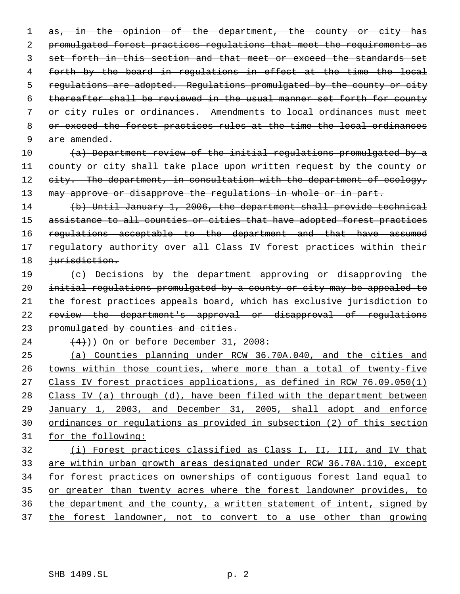1 as, in the opinion of the department, the county or city has promulgated forest practices regulations that meet the requirements as set forth in this section and that meet or exceed the standards set forth by the board in regulations in effect at the time the local regulations are adopted. Regulations promulgated by the county or city thereafter shall be reviewed in the usual manner set forth for county or city rules or ordinances. Amendments to local ordinances must meet 8 or exceed the forest practices rules at the time the local ordinances 9 are amended.

 $(a)$  Department review of the initial requlations promulgated by a county or city shall take place upon written request by the county or 12 eity. The department, in consultation with the department of ecology, 13 may approve or disapprove the regulations in whole or in part.

 (b) Until January 1, 2006, the department shall provide technical 15 assistance to all counties or cities that have adopted forest practices 16 regulations acceptable to the department and that have assumed 17 regulatory authority over all Class IV forest practices within their 18 <del>jurisdiction.</del>

19 (c) Decisions by the department approving or disapproving the initial regulations promulgated by a county or city may be appealed to the forest practices appeals board, which has exclusive jurisdiction to review the department's approval or disapproval of regulations 23 promulgated by counties and cities.

 $(4)$ )) On or before December 31, 2008:

 (a) Counties planning under RCW 36.70A.040, and the cities and 26 towns within those counties, where more than a total of twenty-five 27 Class IV forest practices applications, as defined in RCW 76.09.050(1) Class IV (a) through (d), have been filed with the department between January 1, 2003, and December 31, 2005, shall adopt and enforce ordinances or regulations as provided in subsection (2) of this section for the following:

 (i) Forest practices classified as Class I, II, III, and IV that are within urban growth areas designated under RCW 36.70A.110, except for forest practices on ownerships of contiguous forest land equal to 35 or greater than twenty acres where the forest landowner provides, to the department and the county, a written statement of intent, signed by the forest landowner, not to convert to a use other than growing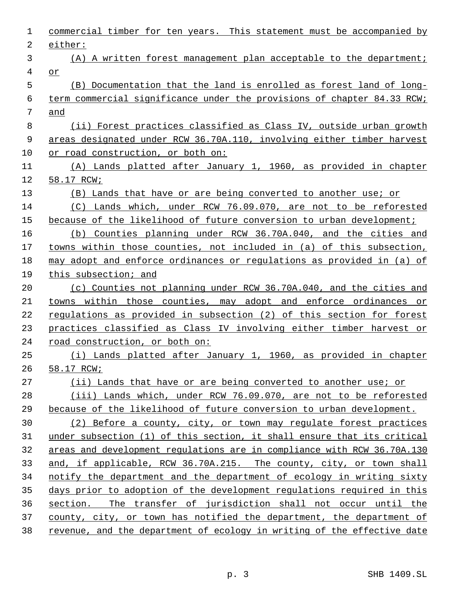| 1              | commercial timber for ten years. This statement must be accompanied by  |
|----------------|-------------------------------------------------------------------------|
| $\overline{2}$ | either:                                                                 |
| 3              | (A) A written forest management plan acceptable to the department;      |
| 4              | or                                                                      |
| 5              | (B) Documentation that the land is enrolled as forest land of long-     |
| 6              | term commercial significance under the provisions of chapter 84.33 RCW; |
| 7              | and                                                                     |
| 8              | (ii) Forest practices classified as Class IV, outside urban growth      |
| 9              | areas designated under RCW 36.70A.110, involving either timber harvest  |
| 10             | or road construction, or both on:                                       |
| 11             | (A) Lands platted after January 1, 1960, as provided in chapter         |
| 12             | 58.17 RCW;                                                              |
| 13             | (B) Lands that have or are being converted to another use; or           |
| 14             | (C) Lands which, under RCW 76.09.070, are not to be reforested          |
| 15             | because of the likelihood of future conversion to urban development;    |
| 16             | (b) Counties planning under RCW 36.70A.040, and the cities and          |
| 17             | towns within those counties, not included in (a) of this subsection,    |
| 18             | may adopt and enforce ordinances or regulations as provided in (a) of   |
| 19             | this subsection; and                                                    |
| 20             | (c) Counties not planning under RCW 36.70A.040, and the cities and      |
| 21             | towns within those counties, may adopt and enforce ordinances or        |
| 22             | regulations as provided in subsection (2) of this section for forest    |
| 23             | practices classified as Class IV involving either timber harvest or     |
| 24             | road construction, or both on:                                          |
| 25             | (i) Lands platted after January 1, 1960, as provided in chapter         |
| 26             | 58.17 RCW;                                                              |
| 27             | (ii) Lands that have or are being converted to another use; or          |
| 28             | (iii) Lands which, under RCW 76.09.070, are not to be reforested        |
| 29             | because of the likelihood of future conversion to urban development.    |
| 30             | (2) Before a county, city, or town may regulate forest practices        |
| 31             | under subsection (1) of this section, it shall ensure that its critical |
| 32             | areas and development regulations are in compliance with RCW 36.70A.130 |
| 33             | and, if applicable, RCW 36.70A.215. The county, city, or town shall     |
| 34             | notify the department and the department of ecology in writing sixty    |
| 35             | days prior to adoption of the development regulations required in this  |
| 36             | section. The transfer of jurisdiction shall not occur until the         |
| 37             | county, city, or town has notified the department, the department of    |
| 38             | revenue, and the department of ecology in writing of the effective date |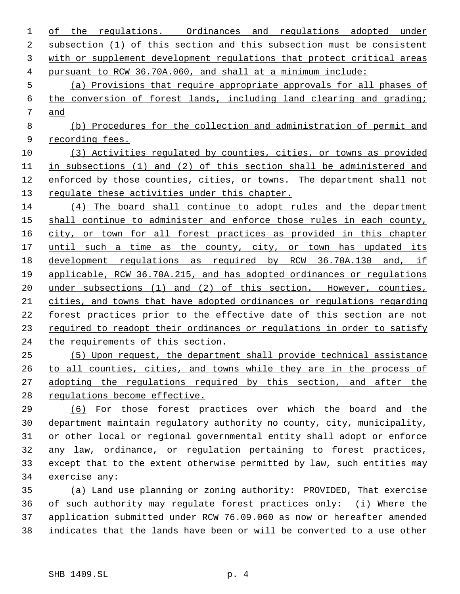| regulations. Ordinances and regulations adopted under<br>of<br>the      |
|-------------------------------------------------------------------------|
| subsection (1) of this section and this subsection must be consistent   |
| with or supplement development regulations that protect critical areas  |
| pursuant to RCW 36.70A.060, and shall at a minimum include:             |
| (a) Provisions that require appropriate approvals for all phases of     |
| the conversion of forest lands, including land clearing and grading;    |
| and                                                                     |
| (b) Procedures for the collection and administration of permit and      |
| recording fees.                                                         |
| (3) Activities regulated by counties, cities, or towns as provided      |
| in subsections (1) and (2) of this section shall be administered and    |
| enforced by those counties, cities, or towns. The department shall not  |
| regulate these activities under this chapter.                           |
| (4) The board shall continue to adopt rules and the department          |
| shall continue to administer and enforce those rules in each county,    |
| city, or town for all forest practices as provided in this chapter      |
| until such a time as the county, city, or town has updated its          |
| development regulations as required by RCW 36.70A.130 and, if           |
| applicable, RCW 36.70A.215, and has adopted ordinances or regulations   |
| under subsections $(1)$ and $(2)$ of this section. However, counties,   |
| cities, and towns that have adopted ordinances or regulations regarding |
| forest practices prior to the effective date of this section are not    |
| required to readopt their ordinances or regulations in order to satisfy |
| the requirements of this section.                                       |
| (5) Upon request, the department shall provide technical assistance     |
| to all counties, cities, and towns while they are in the process of     |
| adopting the regulations required by this section, and after the        |
| regulations become effective.                                           |
| (6) For those forest practices over which the board and the             |
|                                                                         |

 department maintain regulatory authority no county, city, municipality, or other local or regional governmental entity shall adopt or enforce any law, ordinance, or regulation pertaining to forest practices, except that to the extent otherwise permitted by law, such entities may exercise any:

 (a) Land use planning or zoning authority: PROVIDED, That exercise of such authority may regulate forest practices only: (i) Where the application submitted under RCW 76.09.060 as now or hereafter amended indicates that the lands have been or will be converted to a use other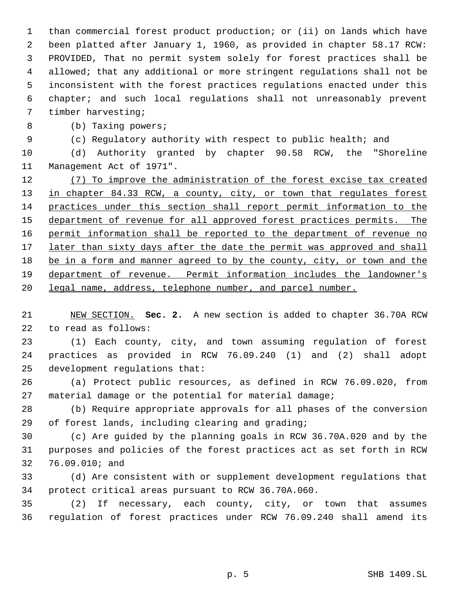than commercial forest product production; or (ii) on lands which have been platted after January 1, 1960, as provided in chapter 58.17 RCW: PROVIDED, That no permit system solely for forest practices shall be allowed; that any additional or more stringent regulations shall not be inconsistent with the forest practices regulations enacted under this chapter; and such local regulations shall not unreasonably prevent timber harvesting;

(b) Taxing powers;

(c) Regulatory authority with respect to public health; and

 (d) Authority granted by chapter 90.58 RCW, the "Shoreline Management Act of 1971".

12 (7) To improve the administration of the forest excise tax created 13 in chapter 84.33 RCW, a county, city, or town that regulates forest practices under this section shall report permit information to the 15 department of revenue for all approved forest practices permits. The 16 permit information shall be reported to the department of revenue no 17 later than sixty days after the date the permit was approved and shall be in a form and manner agreed to by the county, city, or town and the department of revenue. Permit information includes the landowner's legal name, address, telephone number, and parcel number.

 NEW SECTION. **Sec. 2.** A new section is added to chapter 36.70A RCW to read as follows:

 (1) Each county, city, and town assuming regulation of forest practices as provided in RCW 76.09.240 (1) and (2) shall adopt development regulations that:

 (a) Protect public resources, as defined in RCW 76.09.020, from material damage or the potential for material damage;

 (b) Require appropriate approvals for all phases of the conversion of forest lands, including clearing and grading;

 (c) Are guided by the planning goals in RCW 36.70A.020 and by the purposes and policies of the forest practices act as set forth in RCW 76.09.010; and

 (d) Are consistent with or supplement development regulations that protect critical areas pursuant to RCW 36.70A.060.

 (2) If necessary, each county, city, or town that assumes regulation of forest practices under RCW 76.09.240 shall amend its